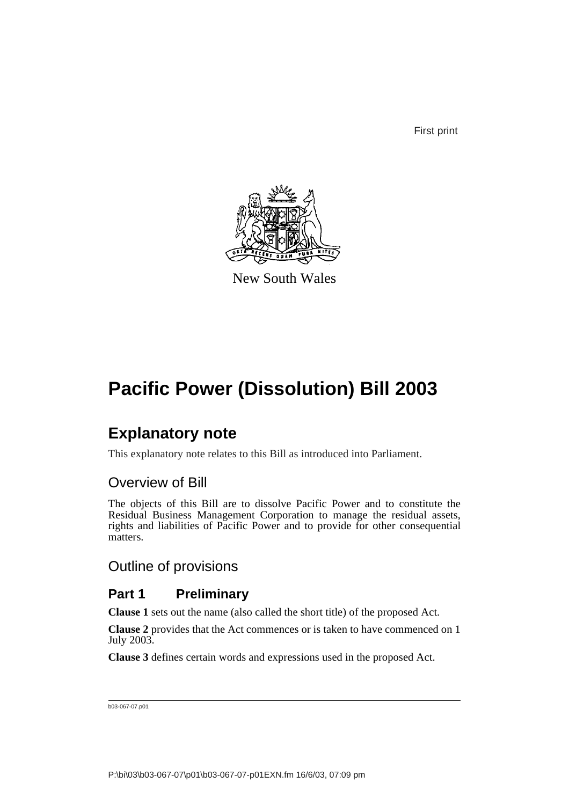First print



New South Wales

# **Pacific Power (Dissolution) Bill 2003**

# **Explanatory note**

This explanatory note relates to this Bill as introduced into Parliament.

# Overview of Bill

The objects of this Bill are to dissolve Pacific Power and to constitute the Residual Business Management Corporation to manage the residual assets, rights and liabilities of Pacific Power and to provide for other consequential matters.

# Outline of provisions

# **Part 1 Preliminary**

**Clause 1** sets out the name (also called the short title) of the proposed Act.

**Clause 2** provides that the Act commences or is taken to have commenced on 1 July 2003.

**Clause 3** defines certain words and expressions used in the proposed Act.

b03-067-07.p01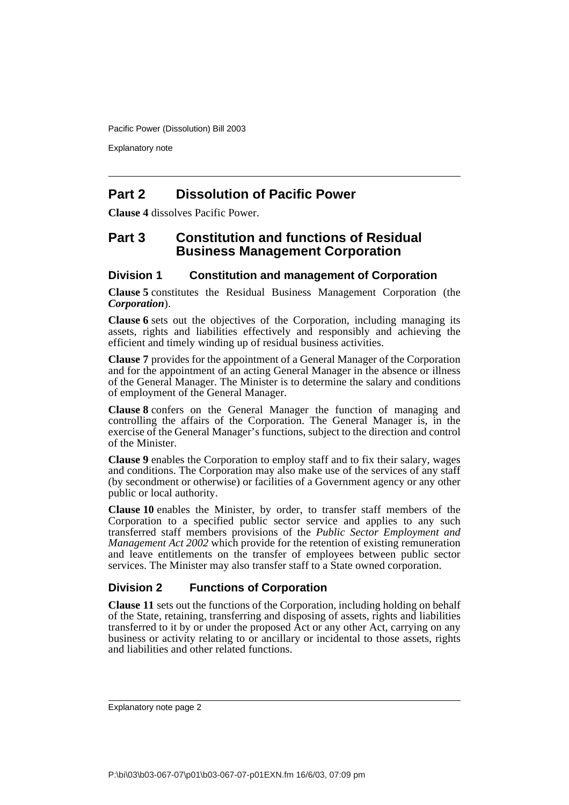Explanatory note

# **Part 2 Dissolution of Pacific Power**

**Clause 4** dissolves Pacific Power.

# **Part 3 Constitution and functions of Residual Business Management Corporation**

### **Division 1 Constitution and management of Corporation**

**Clause 5** constitutes the Residual Business Management Corporation (the *Corporation*).

**Clause 6** sets out the objectives of the Corporation, including managing its assets, rights and liabilities effectively and responsibly and achieving the efficient and timely winding up of residual business activities.

**Clause 7** provides for the appointment of a General Manager of the Corporation and for the appointment of an acting General Manager in the absence or illness of the General Manager. The Minister is to determine the salary and conditions of employment of the General Manager.

**Clause 8** confers on the General Manager the function of managing and controlling the affairs of the Corporation. The General Manager is, in the exercise of the General Manager's functions, subject to the direction and control of the Minister.

**Clause 9** enables the Corporation to employ staff and to fix their salary, wages and conditions. The Corporation may also make use of the services of any staff (by secondment or otherwise) or facilities of a Government agency or any other public or local authority.

**Clause 10** enables the Minister, by order, to transfer staff members of the Corporation to a specified public sector service and applies to any such transferred staff members provisions of the *Public Sector Employment and Management Act 2002* which provide for the retention of existing remuneration and leave entitlements on the transfer of employees between public sector services. The Minister may also transfer staff to a State owned corporation.

### **Division 2 Functions of Corporation**

**Clause 11** sets out the functions of the Corporation, including holding on behalf of the State, retaining, transferring and disposing of assets, rights and liabilities transferred to it by or under the proposed Act or any other Act, carrying on any business or activity relating to or ancillary or incidental to those assets, rights and liabilities and other related functions.

Explanatory note page 2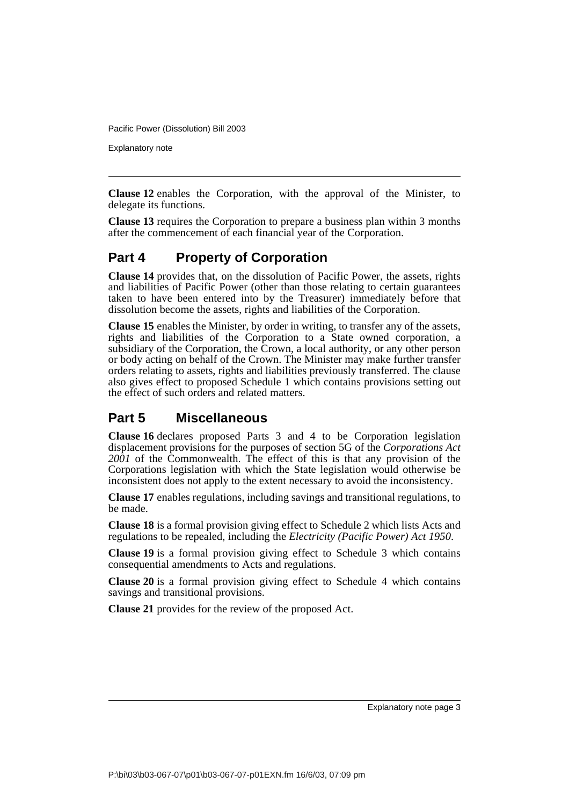Explanatory note

**Clause 12** enables the Corporation, with the approval of the Minister, to delegate its functions.

**Clause 13** requires the Corporation to prepare a business plan within 3 months after the commencement of each financial year of the Corporation.

# **Part 4 Property of Corporation**

**Clause 14** provides that, on the dissolution of Pacific Power, the assets, rights and liabilities of Pacific Power (other than those relating to certain guarantees taken to have been entered into by the Treasurer) immediately before that dissolution become the assets, rights and liabilities of the Corporation.

**Clause 15** enables the Minister, by order in writing, to transfer any of the assets, rights and liabilities of the Corporation to a State owned corporation, a subsidiary of the Corporation, the Crown, a local authority, or any other person or body acting on behalf of the Crown. The Minister may make further transfer orders relating to assets, rights and liabilities previously transferred. The clause also gives effect to proposed Schedule 1 which contains provisions setting out the effect of such orders and related matters.

## **Part 5 Miscellaneous**

**Clause 16** declares proposed Parts 3 and 4 to be Corporation legislation displacement provisions for the purposes of section 5G of the *Corporations Act 2001* of the Commonwealth. The effect of this is that any provision of the Corporations legislation with which the State legislation would otherwise be inconsistent does not apply to the extent necessary to avoid the inconsistency.

**Clause 17** enables regulations, including savings and transitional regulations, to be made.

**Clause 18** is a formal provision giving effect to Schedule 2 which lists Acts and regulations to be repealed, including the *Electricity (Pacific Power) Act 1950*.

**Clause 19** is a formal provision giving effect to Schedule 3 which contains consequential amendments to Acts and regulations.

**Clause 20** is a formal provision giving effect to Schedule 4 which contains savings and transitional provisions.

**Clause 21** provides for the review of the proposed Act.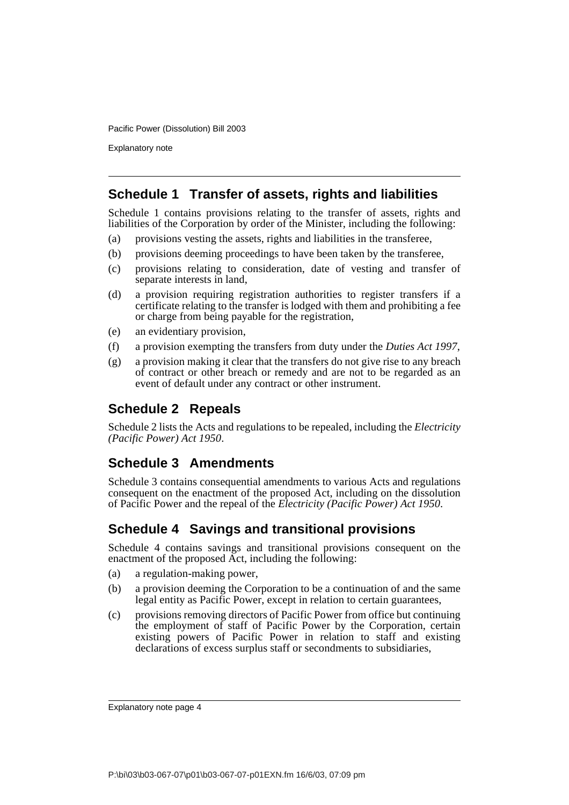Explanatory note

## **Schedule 1 Transfer of assets, rights and liabilities**

Schedule 1 contains provisions relating to the transfer of assets, rights and liabilities of the Corporation by order of the Minister, including the following:

- (a) provisions vesting the assets, rights and liabilities in the transferee,
- (b) provisions deeming proceedings to have been taken by the transferee,
- (c) provisions relating to consideration, date of vesting and transfer of separate interests in land,
- (d) a provision requiring registration authorities to register transfers if a certificate relating to the transfer is lodged with them and prohibiting a fee or charge from being payable for the registration,
- (e) an evidentiary provision,
- (f) a provision exempting the transfers from duty under the *Duties Act 1997*,
- (g) a provision making it clear that the transfers do not give rise to any breach of contract or other breach or remedy and are not to be regarded as an event of default under any contract or other instrument.

# **Schedule 2 Repeals**

Schedule 2 lists the Acts and regulations to be repealed, including the *Electricity (Pacific Power) Act 1950*.

# **Schedule 3 Amendments**

Schedule 3 contains consequential amendments to various Acts and regulations consequent on the enactment of the proposed Act, including on the dissolution of Pacific Power and the repeal of the *Electricity (Pacific Power) Act 1950*.

# **Schedule 4 Savings and transitional provisions**

Schedule 4 contains savings and transitional provisions consequent on the enactment of the proposed Act, including the following:

- (a) a regulation-making power,
- (b) a provision deeming the Corporation to be a continuation of and the same legal entity as Pacific Power, except in relation to certain guarantees,
- (c) provisions removing directors of Pacific Power from office but continuing the employment of staff of Pacific Power by the Corporation, certain existing powers of Pacific Power in relation to staff and existing declarations of excess surplus staff or secondments to subsidiaries,

Explanatory note page 4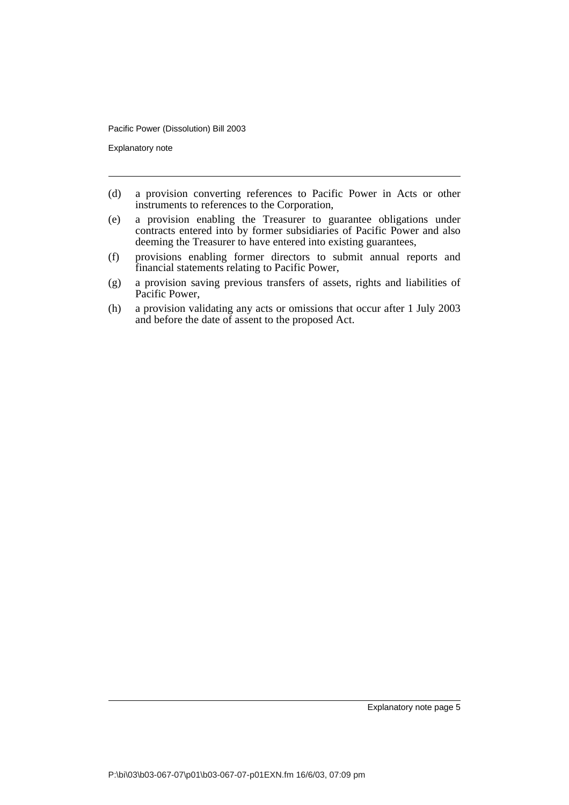Explanatory note

- (d) a provision converting references to Pacific Power in Acts or other instruments to references to the Corporation,
- (e) a provision enabling the Treasurer to guarantee obligations under contracts entered into by former subsidiaries of Pacific Power and also deeming the Treasurer to have entered into existing guarantees,
- (f) provisions enabling former directors to submit annual reports and financial statements relating to Pacific Power,
- (g) a provision saving previous transfers of assets, rights and liabilities of Pacific Power,
- (h) a provision validating any acts or omissions that occur after 1 July 2003 and before the date of assent to the proposed Act.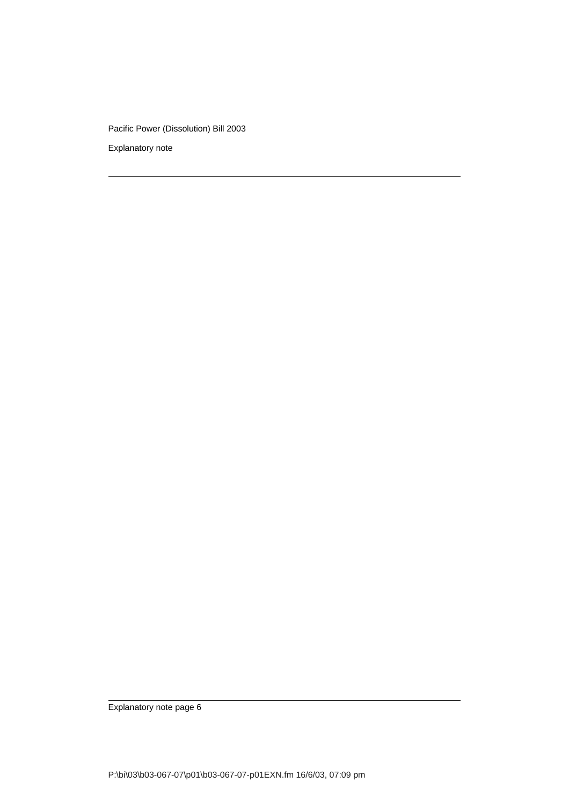Explanatory note

Explanatory note page 6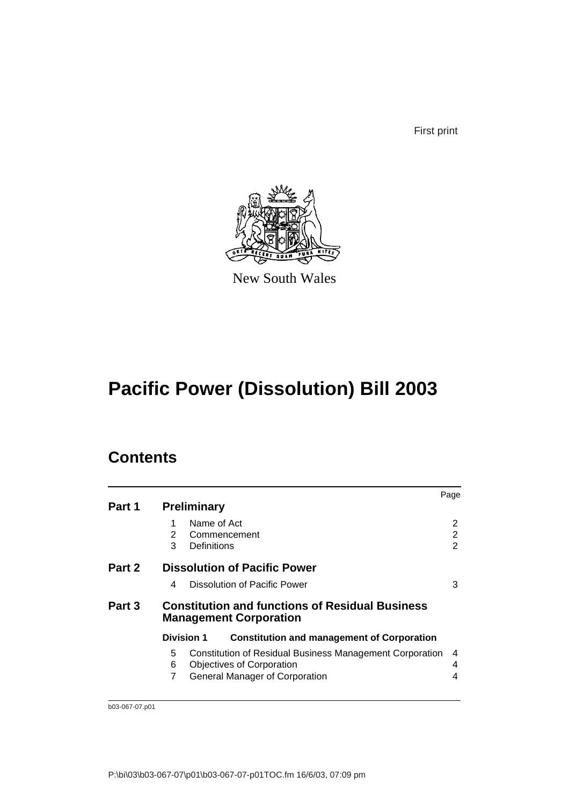First print



New South Wales

# **Pacific Power (Dissolution) Bill 2003**

# **Contents**

|        |                    |                                                                                         | Page                  |
|--------|--------------------|-----------------------------------------------------------------------------------------|-----------------------|
| Part 1 | <b>Preliminary</b> |                                                                                         |                       |
|        |                    | Name of Act                                                                             | $\mathbf{2}^{\prime}$ |
|        | 2                  | Commencement                                                                            | $\mathbf{2}^{\prime}$ |
|        | 3                  | Definitions                                                                             | $\overline{2}$        |
| Part 2 |                    | <b>Dissolution of Pacific Power</b>                                                     |                       |
|        | 4                  | Dissolution of Pacific Power                                                            | 3                     |
| Part 3 |                    | <b>Constitution and functions of Residual Business</b><br><b>Management Corporation</b> |                       |
|        | <b>Division 1</b>  | <b>Constitution and management of Corporation</b>                                       |                       |
|        | 5                  | <b>Constitution of Residual Business Management Corporation</b>                         | 4                     |
|        | 6                  | <b>Objectives of Corporation</b>                                                        | 4                     |
|        | 7                  | General Manager of Corporation                                                          | 4                     |
|        |                    |                                                                                         |                       |

b03-067-07.p01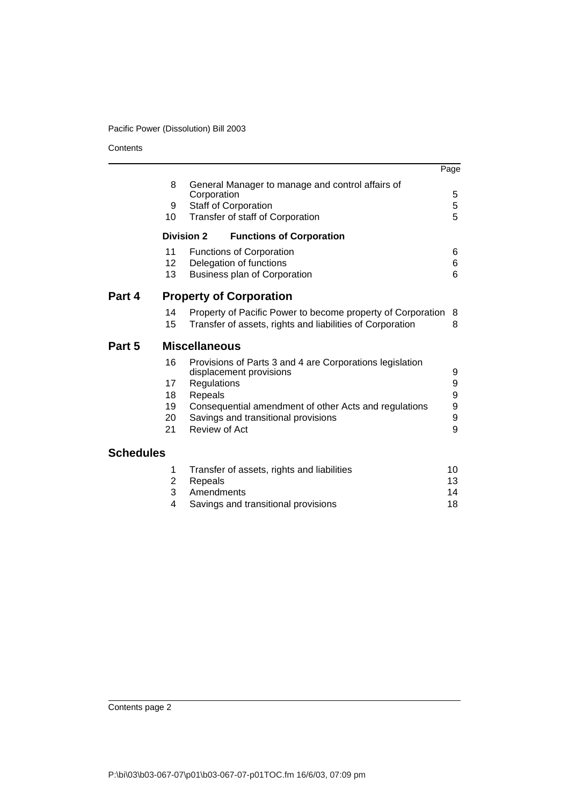**Contents** 

|                  |    |                                                                                     | Page   |
|------------------|----|-------------------------------------------------------------------------------------|--------|
|                  | 8  | General Manager to manage and control affairs of<br>Corporation                     | 5      |
|                  | 9  | <b>Staff of Corporation</b>                                                         | 5<br>5 |
|                  | 10 | Transfer of staff of Corporation                                                    |        |
|                  |    | <b>Division 2</b><br><b>Functions of Corporation</b>                                |        |
|                  | 11 | Functions of Corporation                                                            | 6      |
|                  | 12 | Delegation of functions                                                             | 6      |
|                  | 13 | Business plan of Corporation                                                        | 6      |
| Part 4           |    | <b>Property of Corporation</b>                                                      |        |
|                  | 14 | Property of Pacific Power to become property of Corporation                         | 8      |
|                  | 15 | Transfer of assets, rights and liabilities of Corporation                           | 8      |
| Part 5           |    | <b>Miscellaneous</b>                                                                |        |
|                  | 16 | Provisions of Parts 3 and 4 are Corporations legislation<br>displacement provisions | 9      |
|                  | 17 | Regulations                                                                         | 9      |
|                  | 18 | Repeals                                                                             | 9      |
|                  | 19 | Consequential amendment of other Acts and regulations                               | 9      |
|                  | 20 | Savings and transitional provisions                                                 | 9      |
|                  | 21 | <b>Review of Act</b>                                                                | 9      |
| <b>Schedules</b> |    |                                                                                     |        |
|                  | 1  | Transfer of assets, rights and liabilities                                          | 10     |
|                  | 2  | Repeals                                                                             | 13     |
|                  | 3  | Amendments                                                                          | 14     |
|                  | 4  | Savings and transitional provisions                                                 | 18     |

Contents page 2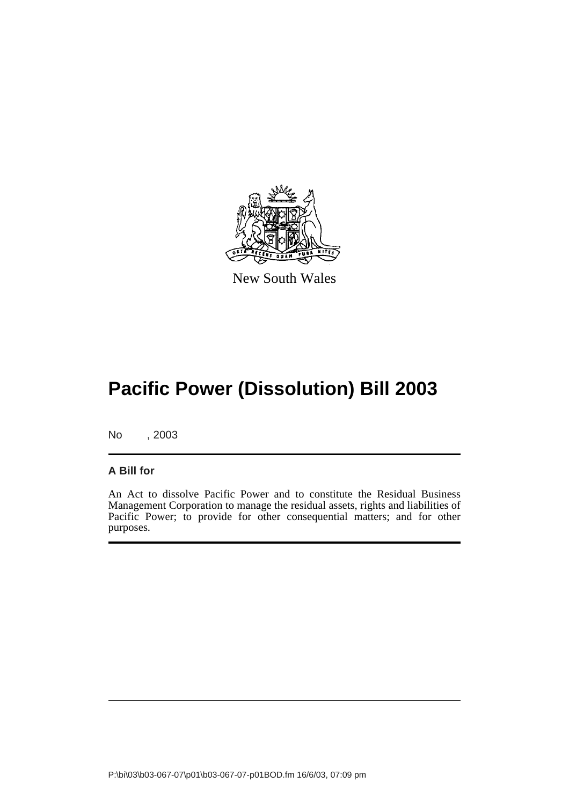

New South Wales

# **Pacific Power (Dissolution) Bill 2003**

No , 2003

### **A Bill for**

An Act to dissolve Pacific Power and to constitute the Residual Business Management Corporation to manage the residual assets, rights and liabilities of Pacific Power; to provide for other consequential matters; and for other purposes.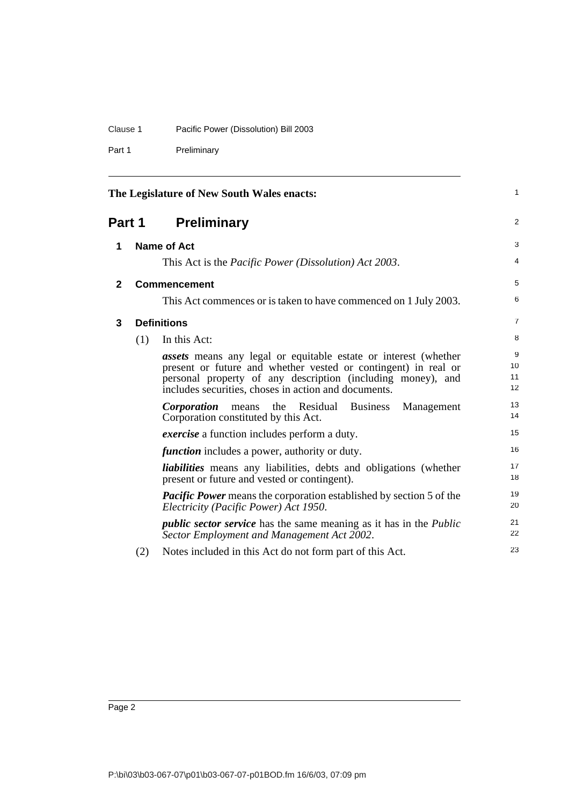#### Clause 1 Pacific Power (Dissolution) Bill 2003

Part 1 Preliminary

<span id="page-9-3"></span><span id="page-9-2"></span><span id="page-9-1"></span><span id="page-9-0"></span>

| The Legislature of New South Wales enacts: |               |                                                                                                                                                                                                                                                                 | $\mathbf{1}$                                  |
|--------------------------------------------|---------------|-----------------------------------------------------------------------------------------------------------------------------------------------------------------------------------------------------------------------------------------------------------------|-----------------------------------------------|
|                                            | <b>Part 1</b> | <b>Preliminary</b>                                                                                                                                                                                                                                              | $\overline{2}$                                |
| 1                                          |               | <b>Name of Act</b>                                                                                                                                                                                                                                              | 3                                             |
|                                            |               | This Act is the <i>Pacific Power (Dissolution)</i> Act 2003.                                                                                                                                                                                                    | 4                                             |
| $\mathbf{2}$                               |               | <b>Commencement</b>                                                                                                                                                                                                                                             | 5                                             |
|                                            |               | This Act commences or is taken to have commenced on 1 July 2003.                                                                                                                                                                                                | 6                                             |
| 3                                          |               | <b>Definitions</b>                                                                                                                                                                                                                                              | $\overline{7}$                                |
|                                            | (1)           | In this Act:                                                                                                                                                                                                                                                    | 8                                             |
|                                            |               | <b>assets</b> means any legal or equitable estate or interest (whether<br>present or future and whether vested or contingent) in real or<br>personal property of any description (including money), and<br>includes securities, choses in action and documents. | 9<br>10 <sup>1</sup><br>11<br>12 <sup>2</sup> |
|                                            |               | <i>Corporation</i> means the Residual<br><b>Business</b><br>Management<br>Corporation constituted by this Act.                                                                                                                                                  | 13<br>14                                      |
|                                            |               | exercise a function includes perform a duty.                                                                                                                                                                                                                    | 15                                            |
|                                            |               | <i>function</i> includes a power, authority or duty.                                                                                                                                                                                                            | 16                                            |
|                                            |               | <i>liabilities</i> means any liabilities, debts and obligations (whether<br>present or future and vested or contingent).                                                                                                                                        | 17<br>18                                      |
|                                            |               | <b>Pacific Power</b> means the corporation established by section 5 of the<br>Electricity (Pacific Power) Act 1950.                                                                                                                                             | 19<br>20                                      |
|                                            |               | <i>public sector service</i> has the same meaning as it has in the <i>Public</i><br>Sector Employment and Management Act 2002.                                                                                                                                  | 21<br>22                                      |
|                                            | (2)           | Notes included in this Act do not form part of this Act.                                                                                                                                                                                                        | 23                                            |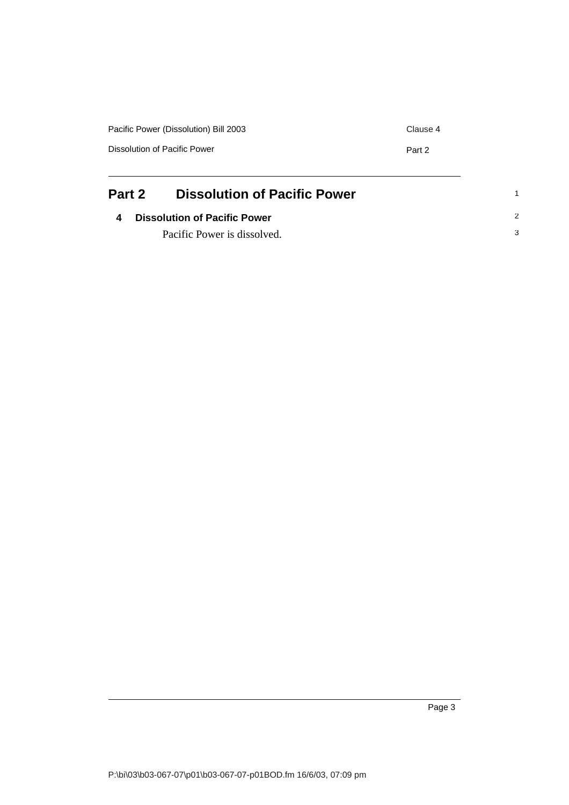| Pacific Power (Dissolution) Bill 2003 | Clause 4 |
|---------------------------------------|----------|
| Dissolution of Pacific Power          | Part 2   |
|                                       |          |

<span id="page-10-1"></span><span id="page-10-0"></span>

| <b>Part 2</b> | <b>Dissolution of Pacific Power</b> |  |
|---------------|-------------------------------------|--|
|               | <b>Dissolution of Pacific Power</b> |  |
|               | Pacific Power is dissolved.         |  |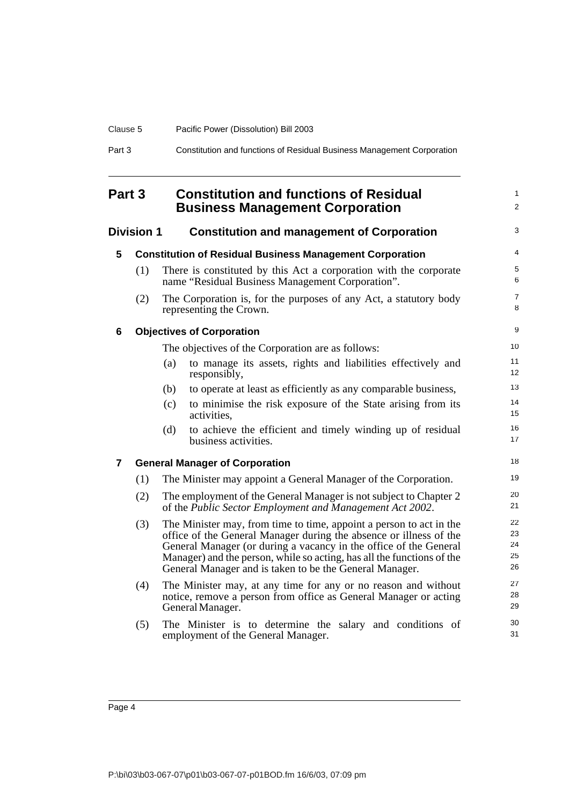| Clause 5 | Pacific Power (Dissolution) Bill 2003                                  |
|----------|------------------------------------------------------------------------|
| Part 3   | Constitution and functions of Residual Business Management Corporation |

<span id="page-11-0"></span>

| Part 3 | <b>Constitution and functions of Residual</b> |
|--------|-----------------------------------------------|
|        | <b>Business Management Corporation</b>        |

### <span id="page-11-2"></span><span id="page-11-1"></span>**Division 1 Constitution and management of Corporation**

|  | 5 Constitution of Residual Business Management Corporation        |
|--|-------------------------------------------------------------------|
|  | There is constituted by this Act a corporation with the corporate |

name "Residual Business Management Corporation".

1  $\mathcal{L}$ 

3

(2) The Corporation is, for the purposes of any Act, a statutory body representing the Crown.

#### <span id="page-11-3"></span>**6 Objectives of Corporation**

The objectives of the Corporation are as follows:

- (a) to manage its assets, rights and liabilities effectively and responsibly,
- (b) to operate at least as efficiently as any comparable business,
- (c) to minimise the risk exposure of the State arising from its activities,
- (d) to achieve the efficient and timely winding up of residual business activities.

#### <span id="page-11-4"></span>**7 General Manager of Corporation**

- (1) The Minister may appoint a General Manager of the Corporation.
- (2) The employment of the General Manager is not subject to Chapter 2 of the *Public Sector Employment and Management Act 2002*.
- (3) The Minister may, from time to time, appoint a person to act in the office of the General Manager during the absence or illness of the General Manager (or during a vacancy in the office of the General Manager) and the person, while so acting, has all the functions of the General Manager and is taken to be the General Manager.
- (4) The Minister may, at any time for any or no reason and without notice, remove a person from office as General Manager or acting General Manager.
- (5) The Minister is to determine the salary and conditions of employment of the General Manager.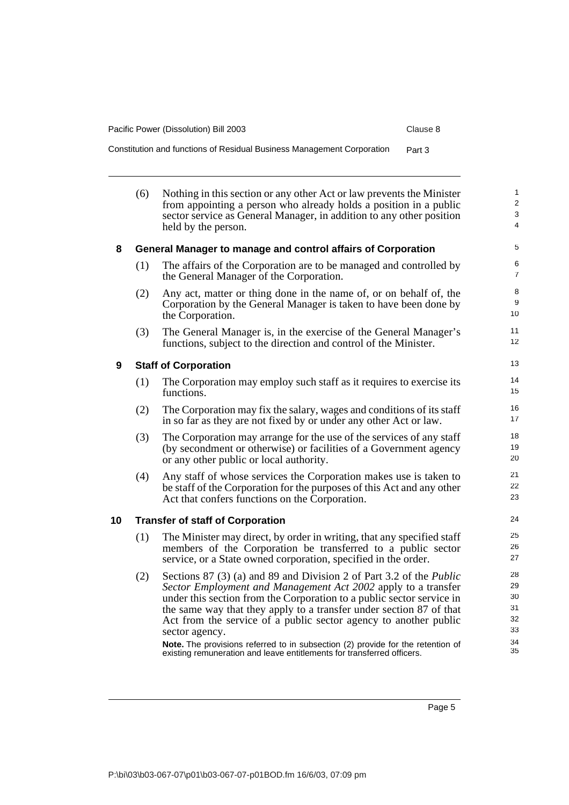Constitution and functions of Residual Business Management Corporation Part 3

<span id="page-12-2"></span><span id="page-12-1"></span><span id="page-12-0"></span>

|    | (6) | Nothing in this section or any other Act or law prevents the Minister<br>from appointing a person who already holds a position in a public<br>sector service as General Manager, in addition to any other position<br>held by the person.                                                                                                                                                                                                                                                                                                      | $\mathbf{1}$<br>$\overline{2}$<br>3<br>4     |
|----|-----|------------------------------------------------------------------------------------------------------------------------------------------------------------------------------------------------------------------------------------------------------------------------------------------------------------------------------------------------------------------------------------------------------------------------------------------------------------------------------------------------------------------------------------------------|----------------------------------------------|
| 8  |     | General Manager to manage and control affairs of Corporation                                                                                                                                                                                                                                                                                                                                                                                                                                                                                   | 5                                            |
|    | (1) | The affairs of the Corporation are to be managed and controlled by<br>the General Manager of the Corporation.                                                                                                                                                                                                                                                                                                                                                                                                                                  | 6<br>$\overline{7}$                          |
|    | (2) | Any act, matter or thing done in the name of, or on behalf of, the<br>Corporation by the General Manager is taken to have been done by<br>the Corporation.                                                                                                                                                                                                                                                                                                                                                                                     | 8<br>9<br>10                                 |
|    | (3) | The General Manager is, in the exercise of the General Manager's<br>functions, subject to the direction and control of the Minister.                                                                                                                                                                                                                                                                                                                                                                                                           | 11<br>12 <sup>°</sup>                        |
| 9  |     | <b>Staff of Corporation</b>                                                                                                                                                                                                                                                                                                                                                                                                                                                                                                                    | 13                                           |
|    | (1) | The Corporation may employ such staff as it requires to exercise its<br>functions.                                                                                                                                                                                                                                                                                                                                                                                                                                                             | 14<br>15                                     |
|    | (2) | The Corporation may fix the salary, wages and conditions of its staff<br>in so far as they are not fixed by or under any other Act or law.                                                                                                                                                                                                                                                                                                                                                                                                     | 16<br>17                                     |
|    | (3) | The Corporation may arrange for the use of the services of any staff<br>(by secondment or otherwise) or facilities of a Government agency<br>or any other public or local authority.                                                                                                                                                                                                                                                                                                                                                           | 18<br>19<br>20                               |
|    | (4) | Any staff of whose services the Corporation makes use is taken to<br>be staff of the Corporation for the purposes of this Act and any other<br>Act that confers functions on the Corporation.                                                                                                                                                                                                                                                                                                                                                  | 21<br>22<br>23                               |
| 10 |     | <b>Transfer of staff of Corporation</b>                                                                                                                                                                                                                                                                                                                                                                                                                                                                                                        | 24                                           |
|    | (1) | The Minister may direct, by order in writing, that any specified staff<br>members of the Corporation be transferred to a public sector<br>service, or a State owned corporation, specified in the order.                                                                                                                                                                                                                                                                                                                                       | 25<br>26<br>27                               |
|    | (2) | Sections 87 (3) (a) and 89 and Division 2 of Part 3.2 of the <i>Public</i><br>Sector Employment and Management Act 2002 apply to a transfer<br>under this section from the Corporation to a public sector service in<br>the same way that they apply to a transfer under section 87 of that<br>Act from the service of a public sector agency to another public<br>sector agency.<br>Note. The provisions referred to in subsection (2) provide for the retention of<br>existing remuneration and leave entitlements for transferred officers. | 28<br>29<br>30<br>31<br>32<br>33<br>34<br>35 |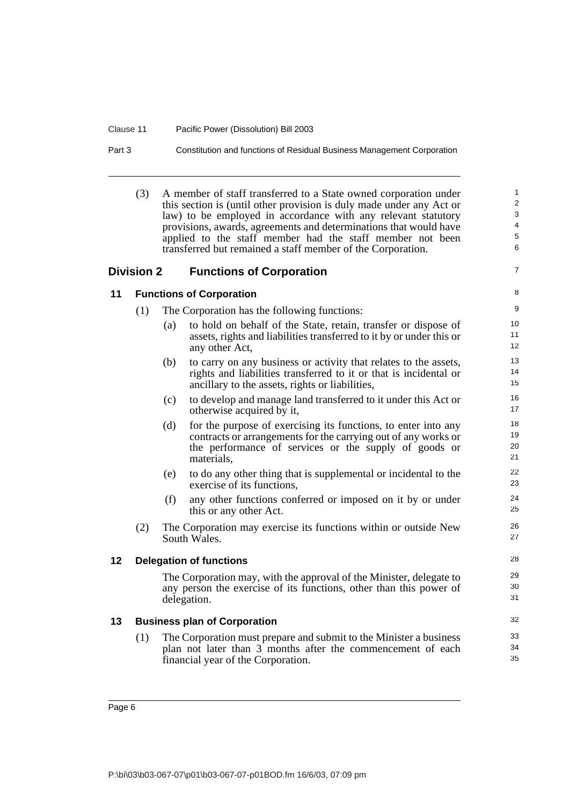#### Clause 11 Pacific Power (Dissolution) Bill 2003

Part 3 Constitution and functions of Residual Business Management Corporation

(3) A member of staff transferred to a State owned corporation under this section is (until other provision is duly made under any Act or law) to be employed in accordance with any relevant statutory provisions, awards, agreements and determinations that would have applied to the staff member had the staff member not been transferred but remained a staff member of the Corporation.

7

#### <span id="page-13-0"></span>**Division 2 Functions of Corporation**

<span id="page-13-1"></span>**11 Functions of Corporation**

- (1) The Corporation has the following functions:
	- (a) to hold on behalf of the State, retain, transfer or dispose of assets, rights and liabilities transferred to it by or under this or any other Act,
	- (b) to carry on any business or activity that relates to the assets, rights and liabilities transferred to it or that is incidental or ancillary to the assets, rights or liabilities,
	- (c) to develop and manage land transferred to it under this Act or otherwise acquired by it,
	- (d) for the purpose of exercising its functions, to enter into any contracts or arrangements for the carrying out of any works or the performance of services or the supply of goods or materials,
	- (e) to do any other thing that is supplemental or incidental to the exercise of its functions,
	- (f) any other functions conferred or imposed on it by or under this or any other Act.
- (2) The Corporation may exercise its functions within or outside New South Wales.

#### <span id="page-13-2"></span>**12 Delegation of functions**

The Corporation may, with the approval of the Minister, delegate to any person the exercise of its functions, other than this power of delegation.

#### <span id="page-13-3"></span>**13 Business plan of Corporation**

(1) The Corporation must prepare and submit to the Minister a business plan not later than 3 months after the commencement of each financial year of the Corporation.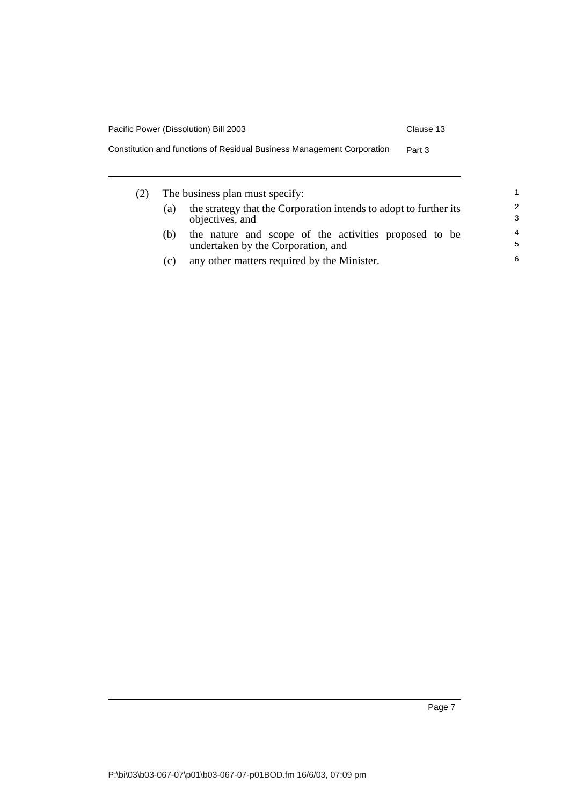#### Constitution and functions of Residual Business Management Corporation Part 3

|  |     | The business plan must specify:                                                             |                      |
|--|-----|---------------------------------------------------------------------------------------------|----------------------|
|  | (a) | the strategy that the Corporation intends to adopt to further its<br>objectives, and        | $\overline{2}$<br>-3 |
|  | (b) | the nature and scope of the activities proposed to be<br>undertaken by the Corporation, and | 4<br>5               |
|  | (c) | any other matters required by the Minister.                                                 | 6                    |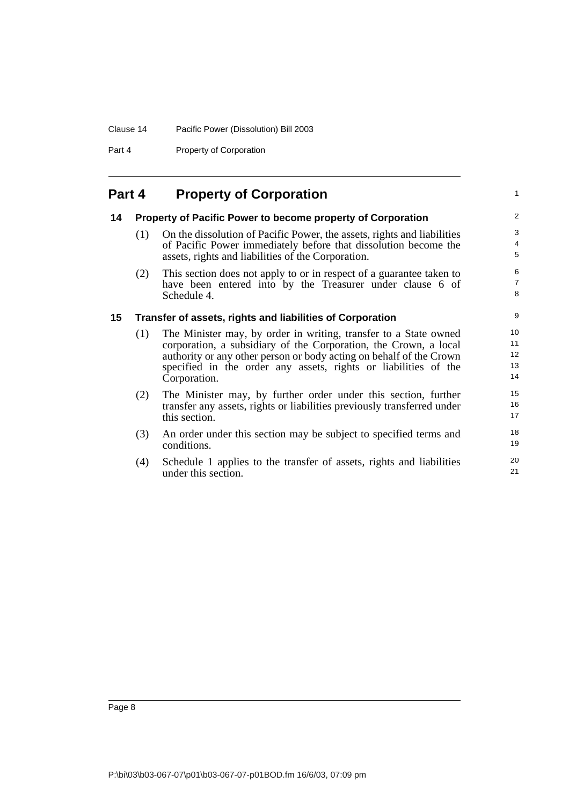Part 4 Property of Corporation

### <span id="page-15-0"></span>**Part 4 Property of Corporation**

#### <span id="page-15-1"></span>**14 Property of Pacific Power to become property of Corporation**

(1) On the dissolution of Pacific Power, the assets, rights and liabilities of Pacific Power immediately before that dissolution become the assets, rights and liabilities of the Corporation.

1

(2) This section does not apply to or in respect of a guarantee taken to have been entered into by the Treasurer under clause 6 of Schedule 4.

#### <span id="page-15-2"></span>**15 Transfer of assets, rights and liabilities of Corporation**

- (1) The Minister may, by order in writing, transfer to a State owned corporation, a subsidiary of the Corporation, the Crown, a local authority or any other person or body acting on behalf of the Crown specified in the order any assets, rights or liabilities of the Corporation.
- (2) The Minister may, by further order under this section, further transfer any assets, rights or liabilities previously transferred under this section.
- (3) An order under this section may be subject to specified terms and conditions.
- (4) Schedule 1 applies to the transfer of assets, rights and liabilities under this section.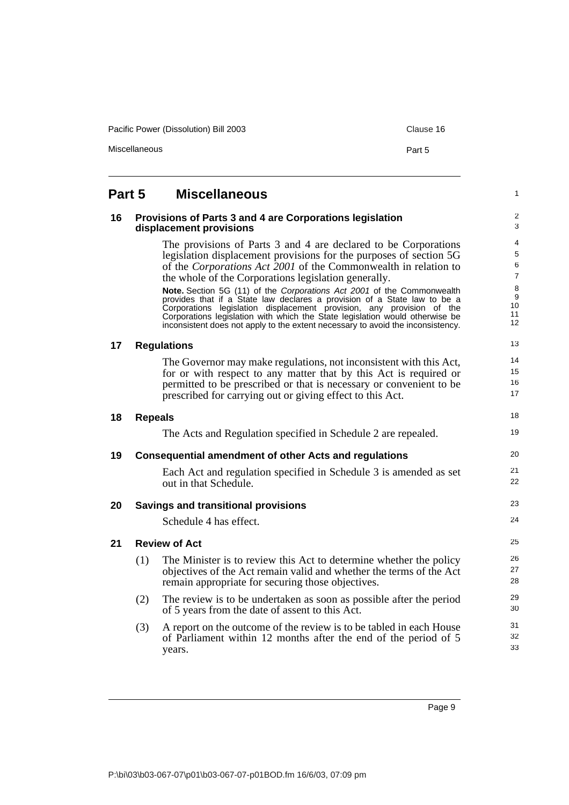Pacific Power (Dissolution) Bill 2003 Clause 16

Miscellaneous **Part 5** 

#### <span id="page-16-6"></span><span id="page-16-5"></span><span id="page-16-4"></span><span id="page-16-3"></span><span id="page-16-2"></span><span id="page-16-1"></span><span id="page-16-0"></span>**Part 5 Miscellaneous 16 Provisions of Parts 3 and 4 are Corporations legislation displacement provisions** The provisions of Parts 3 and 4 are declared to be Corporations legislation displacement provisions for the purposes of section 5G of the *Corporations Act 2001* of the Commonwealth in relation to the whole of the Corporations legislation generally. **Note.** Section 5G (11) of the Corporations Act 2001 of the Commonwealth provides that if a State law declares a provision of a State law to be a Corporations legislation displacement provision, any provision of the Corporations legislation with which the State legislation would otherwise be inconsistent does not apply to the extent necessary to avoid the inconsistency. **17 Regulations** The Governor may make regulations, not inconsistent with this Act, for or with respect to any matter that by this Act is required or permitted to be prescribed or that is necessary or convenient to be prescribed for carrying out or giving effect to this Act. **18 Repeals** The Acts and Regulation specified in Schedule 2 are repealed. **19 Consequential amendment of other Acts and regulations** Each Act and regulation specified in Schedule 3 is amended as set out in that Schedule. **20 Savings and transitional provisions** Schedule 4 has effect. **21 Review of Act** (1) The Minister is to review this Act to determine whether the policy objectives of the Act remain valid and whether the terms of the Act remain appropriate for securing those objectives. (2) The review is to be undertaken as soon as possible after the period of 5 years from the date of assent to this Act. (3) A report on the outcome of the review is to be tabled in each House of Parliament within 12 months after the end of the period of 5 years. 1  $\mathcal{L}$ 3 4 5 6 7 8 9 10 11 12 13 14 15 16 17 18 19 20 21 22 23 24 25 26 27 28 29 30 31 32 33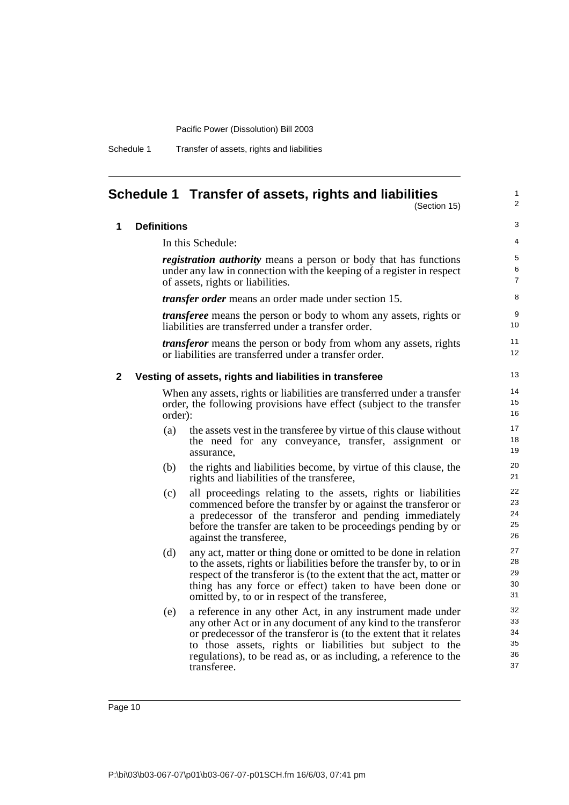Schedule 1 Transfer of assets, rights and liabilities

# <span id="page-17-0"></span>**Schedule 1 Transfer of assets, rights and liabilities**

1

|   | (Section 15)                                                                                                                                                                                                                                                                                                                                              | $\overline{2}$                   |
|---|-----------------------------------------------------------------------------------------------------------------------------------------------------------------------------------------------------------------------------------------------------------------------------------------------------------------------------------------------------------|----------------------------------|
| 1 | <b>Definitions</b>                                                                                                                                                                                                                                                                                                                                        | 3                                |
|   | In this Schedule:                                                                                                                                                                                                                                                                                                                                         | 4                                |
|   | <i>registration authority</i> means a person or body that has functions<br>under any law in connection with the keeping of a register in respect<br>of assets, rights or liabilities.                                                                                                                                                                     | 5<br>6<br>$\overline{7}$         |
|   | <i>transfer order</i> means an order made under section 15.                                                                                                                                                                                                                                                                                               | 8                                |
|   | <i>transferee</i> means the person or body to whom any assets, rights or<br>liabilities are transferred under a transfer order.                                                                                                                                                                                                                           | 9<br>10                          |
|   | transferor means the person or body from whom any assets, rights<br>or liabilities are transferred under a transfer order.                                                                                                                                                                                                                                | 11<br>12 <sup>2</sup>            |
| 2 | Vesting of assets, rights and liabilities in transferee                                                                                                                                                                                                                                                                                                   | 13                               |
|   | When any assets, rights or liabilities are transferred under a transfer<br>order, the following provisions have effect (subject to the transfer<br>order):                                                                                                                                                                                                | 14<br>15<br>16                   |
|   | the assets vest in the transferee by virtue of this clause without<br>(a)<br>the need for any conveyance, transfer, assignment or<br>assurance.                                                                                                                                                                                                           | 17<br>18<br>19                   |
|   | the rights and liabilities become, by virtue of this clause, the<br>(b)<br>rights and liabilities of the transferee,                                                                                                                                                                                                                                      | 20<br>21                         |
|   | all proceedings relating to the assets, rights or liabilities<br>(c)<br>commenced before the transfer by or against the transferor or<br>a predecessor of the transferor and pending immediately<br>before the transfer are taken to be proceedings pending by or<br>against the transferee,                                                              | 22<br>23<br>24<br>25<br>26       |
|   | (d)<br>any act, matter or thing done or omitted to be done in relation<br>to the assets, rights or liabilities before the transfer by, to or in<br>respect of the transferor is (to the extent that the act, matter or<br>thing has any force or effect) taken to have been done or<br>omitted by, to or in respect of the transferee,                    | 27<br>28<br>29<br>30<br>31       |
|   | a reference in any other Act, in any instrument made under<br>(e)<br>any other Act or in any document of any kind to the transferor<br>or predecessor of the transferor is (to the extent that it relates<br>to those assets, rights or liabilities but subject to the<br>regulations), to be read as, or as including, a reference to the<br>transferee. | 32<br>33<br>34<br>35<br>36<br>37 |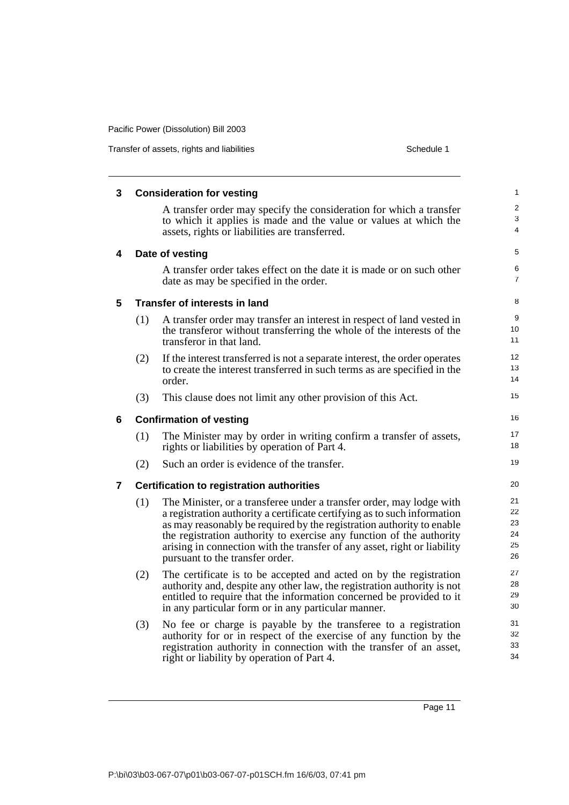| 3 |     | <b>Consideration for vesting</b>                                                                                                                  | 1                   |
|---|-----|---------------------------------------------------------------------------------------------------------------------------------------------------|---------------------|
|   |     | A transfer order may specify the consideration for which a transfer                                                                               | 2                   |
|   |     | to which it applies is made and the value or values at which the<br>assets, rights or liabilities are transferred.                                | 3<br>4              |
|   |     |                                                                                                                                                   |                     |
| 4 |     | Date of vesting                                                                                                                                   | 5                   |
|   |     | A transfer order takes effect on the date it is made or on such other<br>date as may be specified in the order.                                   | 6<br>$\overline{7}$ |
| 5 |     | <b>Transfer of interests in land</b>                                                                                                              | 8                   |
|   | (1) | A transfer order may transfer an interest in respect of land vested in                                                                            | 9                   |
|   |     | the transferor without transferring the whole of the interests of the<br>transferor in that land.                                                 | 10<br>11            |
|   | (2) | If the interest transferred is not a separate interest, the order operates                                                                        | 12                  |
|   |     | to create the interest transferred in such terms as are specified in the<br>order.                                                                | 13<br>14            |
|   |     |                                                                                                                                                   | 15                  |
|   | (3) | This clause does not limit any other provision of this Act.                                                                                       |                     |
| 6 |     | <b>Confirmation of vesting</b>                                                                                                                    | 16                  |
|   | (1) | The Minister may by order in writing confirm a transfer of assets,<br>rights or liabilities by operation of Part 4.                               | 17<br>18            |
|   | (2) | Such an order is evidence of the transfer.                                                                                                        | 19                  |
| 7 |     | <b>Certification to registration authorities</b>                                                                                                  | 20                  |
|   | (1) | The Minister, or a transferee under a transfer order, may lodge with                                                                              | 21                  |
|   |     | a registration authority a certificate certifying as to such information<br>as may reasonably be required by the registration authority to enable | 22<br>23            |
|   |     | the registration authority to exercise any function of the authority                                                                              | 24                  |
|   |     | arising in connection with the transfer of any asset, right or liability                                                                          | 25                  |
|   |     | pursuant to the transfer order.                                                                                                                   | 26                  |
|   | (2) | The certificate is to be accepted and acted on by the registration                                                                                | 27                  |
|   |     | authority and, despite any other law, the registration authority is not                                                                           | 28<br>29            |
|   |     | entitled to require that the information concerned be provided to it<br>in any particular form or in any particular manner.                       | 30                  |
|   | (3) | No fee or charge is payable by the transferee to a registration                                                                                   | 31                  |
|   |     | authority for or in respect of the exercise of any function by the                                                                                | 32                  |
|   |     | registration authority in connection with the transfer of an asset,<br>right or liability by operation of Part 4.                                 | 33<br>34            |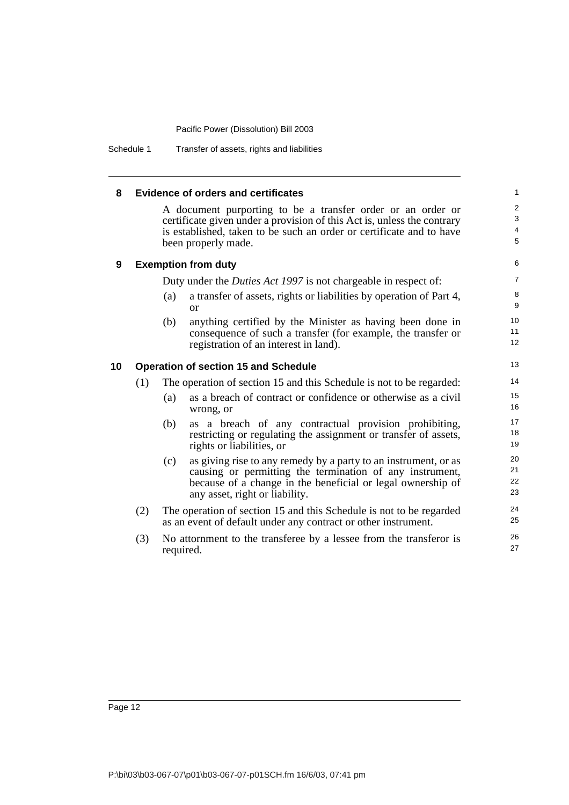Schedule 1 Transfer of assets, rights and liabilities

#### **8 Evidence of orders and certificates**

A document purporting to be a transfer order or an order or certificate given under a provision of this Act is, unless the contrary is established, taken to be such an order or certificate and to have been properly made.

#### **9 Exemption from duty**

Duty under the *Duties Act 1997* is not chargeable in respect of:

- (a) a transfer of assets, rights or liabilities by operation of Part 4, or
- (b) anything certified by the Minister as having been done in consequence of such a transfer (for example, the transfer or registration of an interest in land).

#### **10 Operation of section 15 and Schedule**

- (1) The operation of section 15 and this Schedule is not to be regarded:
	- (a) as a breach of contract or confidence or otherwise as a civil wrong, or
	- (b) as a breach of any contractual provision prohibiting, restricting or regulating the assignment or transfer of assets, rights or liabilities, or
	- (c) as giving rise to any remedy by a party to an instrument, or as causing or permitting the termination of any instrument, because of a change in the beneficial or legal ownership of any asset, right or liability.
- (2) The operation of section 15 and this Schedule is not to be regarded as an event of default under any contract or other instrument.
- (3) No attornment to the transferee by a lessee from the transferor is required.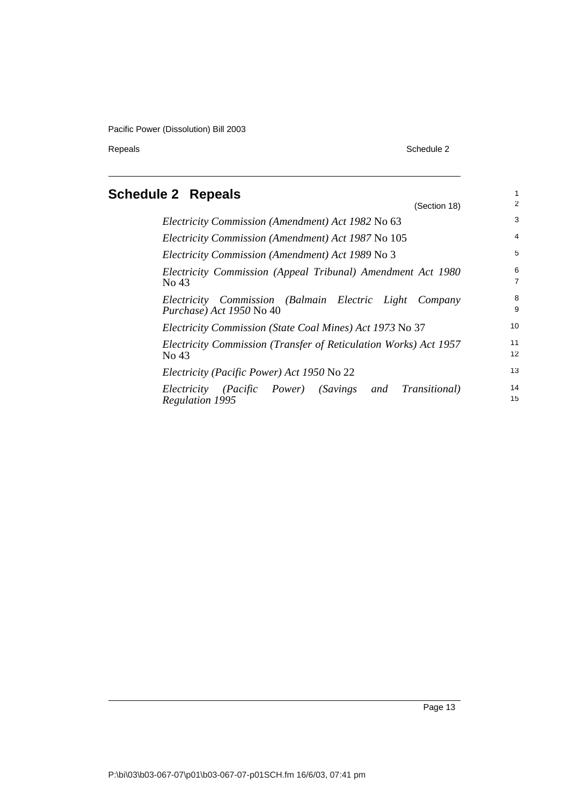Repeals Schedule 2

1

# <span id="page-20-0"></span>**Schedule 2 Repeals**

| <b>U L</b> INVUUU<br>(Section 18)                                                           | 2                   |
|---------------------------------------------------------------------------------------------|---------------------|
| Electricity Commission (Amendment) Act 1982 No 63                                           | 3                   |
| <i>Electricity Commission (Amendment) Act 1987 No 105</i>                                   | 4                   |
| Electricity Commission (Amendment) Act 1989 No 3                                            | 5                   |
| Electricity Commission (Appeal Tribunal) Amendment Act 1980<br>No 43                        | 6<br>$\overline{7}$ |
| Electricity Commission (Balmain Electric Light<br>Company<br>Purchase) Act 1950 No 40       | 8<br>9              |
| Electricity Commission (State Coal Mines) Act 1973 No 37                                    | 10                  |
| Electricity Commission (Transfer of Reticulation Works) Act 1957<br>No 43                   | 11<br>12            |
| <i>Electricity (Pacific Power) Act 1950 No 22</i>                                           | 13                  |
| Electricity (Pacific Power) (Savings and<br><i>Transitional</i> )<br><b>Regulation 1995</b> | 14<br>15            |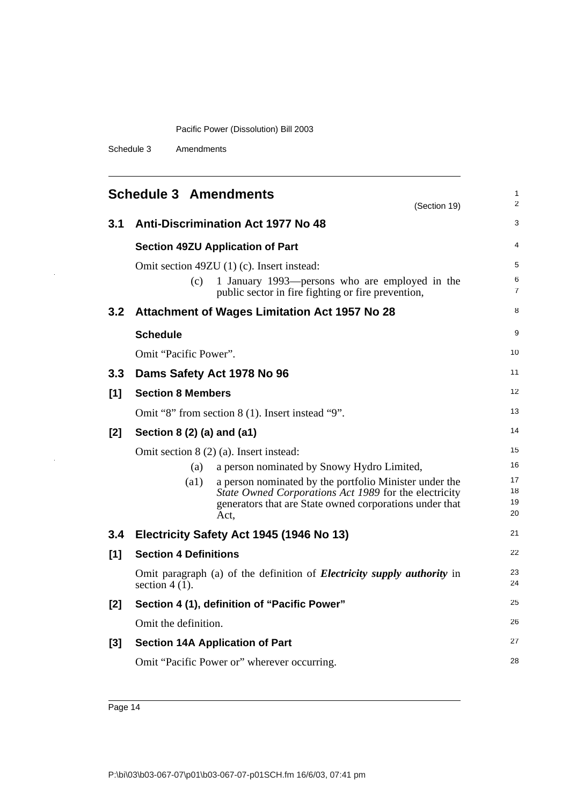Schedule 3 Amendments

 $\frac{1}{2}$ 

<span id="page-21-0"></span>

| <b>Schedule 3 Amendments</b><br>$\mathbf{1}$<br>$\overline{2}$<br>(Section 19) |                                                                                                                         |          |  |
|--------------------------------------------------------------------------------|-------------------------------------------------------------------------------------------------------------------------|----------|--|
| 3.1                                                                            | <b>Anti-Discrimination Act 1977 No 48</b>                                                                               | 3        |  |
|                                                                                | <b>Section 49ZU Application of Part</b>                                                                                 | 4        |  |
|                                                                                | Omit section 49ZU (1) (c). Insert instead:                                                                              | 5        |  |
|                                                                                | 1 January 1993—persons who are employed in the<br>(c)<br>public sector in fire fighting or fire prevention,             | 6<br>7   |  |
| 3.2                                                                            | <b>Attachment of Wages Limitation Act 1957 No 28</b>                                                                    | 8        |  |
|                                                                                | <b>Schedule</b>                                                                                                         | 9        |  |
|                                                                                | Omit "Pacific Power".                                                                                                   | 10       |  |
| 3.3 <sub>1</sub>                                                               | Dams Safety Act 1978 No 96                                                                                              | 11       |  |
| [1]                                                                            | <b>Section 8 Members</b>                                                                                                | 12       |  |
|                                                                                | Omit "8" from section 8 (1). Insert instead "9".                                                                        | 13       |  |
| [2]                                                                            | Section $8(2)(a)$ and $(a1)$                                                                                            | 14       |  |
|                                                                                | Omit section $8(2)$ (a). Insert instead:                                                                                | 15       |  |
|                                                                                | a person nominated by Snowy Hydro Limited,<br>(a)                                                                       | 16       |  |
|                                                                                | (a1)<br>a person nominated by the portfolio Minister under the<br>State Owned Corporations Act 1989 for the electricity | 17<br>18 |  |
|                                                                                | generators that are State owned corporations under that<br>Act,                                                         | 19<br>20 |  |
| $3.4^{\circ}$                                                                  | Electricity Safety Act 1945 (1946 No 13)                                                                                | 21       |  |
| [1]                                                                            | <b>Section 4 Definitions</b>                                                                                            | 22       |  |
|                                                                                | Omit paragraph (a) of the definition of <i>Electricity supply authority</i> in<br>section $4(1)$ .                      | 23<br>24 |  |
| [2]                                                                            | Section 4 (1), definition of "Pacific Power"                                                                            | 25       |  |
|                                                                                | Omit the definition.                                                                                                    | 26       |  |
| $[3]$                                                                          | <b>Section 14A Application of Part</b>                                                                                  | 27       |  |
|                                                                                | Omit "Pacific Power or" wherever occurring.                                                                             | 28       |  |
|                                                                                |                                                                                                                         |          |  |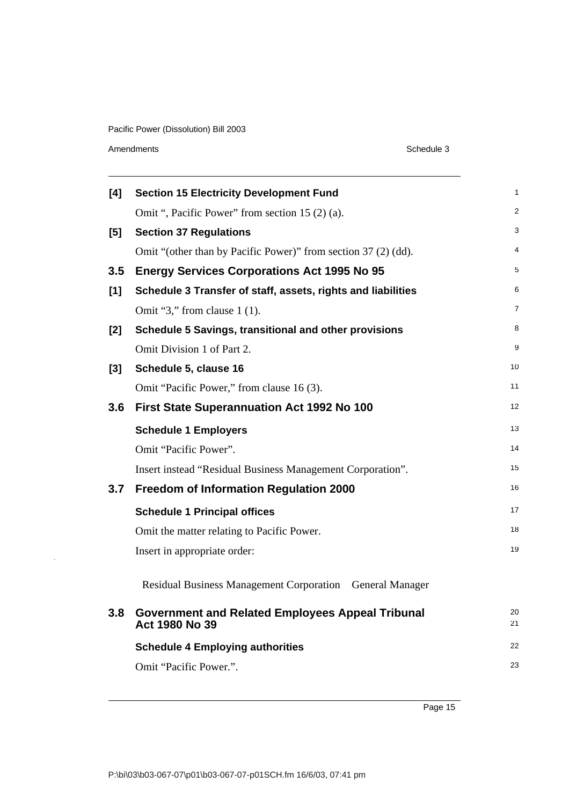Amendments Schedule 3

| [4] | <b>Section 15 Electricity Development Fund</b>                            | $\mathbf{1}$   |
|-----|---------------------------------------------------------------------------|----------------|
|     | Omit ", Pacific Power" from section 15 (2) (a).                           | $\overline{2}$ |
| [5] | <b>Section 37 Regulations</b>                                             | 3              |
|     | Omit "(other than by Pacific Power)" from section 37 (2) (dd).            | 4              |
| 3.5 | <b>Energy Services Corporations Act 1995 No 95</b>                        | 5              |
| [1] | Schedule 3 Transfer of staff, assets, rights and liabilities              | 6              |
|     | Omit "3," from clause $1(1)$ .                                            | 7              |
| [2] | Schedule 5 Savings, transitional and other provisions                     | 8              |
|     | Omit Division 1 of Part 2.                                                | 9              |
| [3] | Schedule 5, clause 16                                                     | 10             |
|     | Omit "Pacific Power," from clause 16 (3).                                 | 11             |
| 3.6 | <b>First State Superannuation Act 1992 No 100</b>                         | 12             |
|     | <b>Schedule 1 Employers</b>                                               | 13             |
|     | Omit "Pacific Power".                                                     | 14             |
|     | Insert instead "Residual Business Management Corporation".                | 15             |
| 3.7 | <b>Freedom of Information Regulation 2000</b>                             | 16             |
|     | <b>Schedule 1 Principal offices</b>                                       | 17             |
|     | Omit the matter relating to Pacific Power.                                | 18             |
|     | Insert in appropriate order:                                              | 19             |
|     | <b>Residual Business Management Corporation</b><br><b>General Manager</b> |                |
| 3.8 | <b>Government and Related Employees Appeal Tribunal</b><br>Act 1980 No 39 | 20<br>21       |
|     | <b>Schedule 4 Employing authorities</b>                                   | 22             |
|     | Omit "Pacific Power.".                                                    | 23             |
|     |                                                                           |                |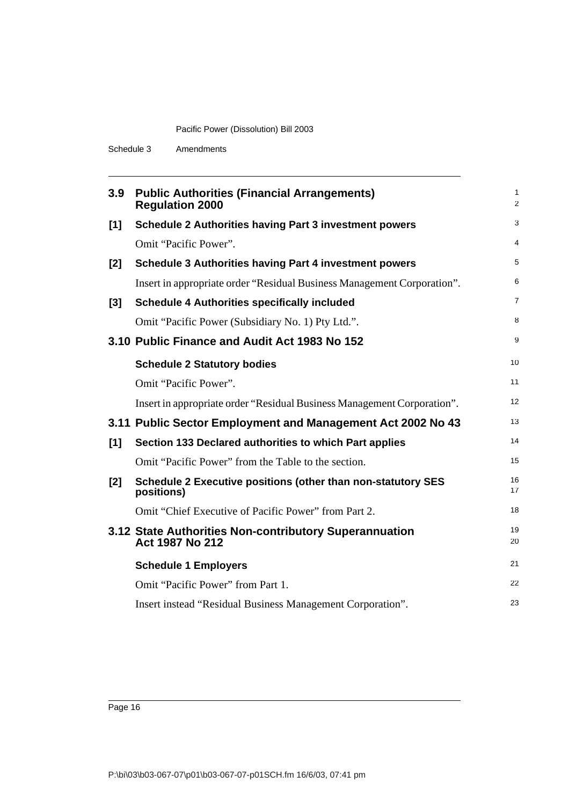Schedule 3 Amendments

| 3.9                                                                       | <b>Public Authorities (Financial Arrangements)</b><br><b>Regulation 2000</b> | 1<br>2   |
|---------------------------------------------------------------------------|------------------------------------------------------------------------------|----------|
| [1]                                                                       | <b>Schedule 2 Authorities having Part 3 investment powers</b>                | 3        |
|                                                                           | Omit "Pacific Power".                                                        | 4        |
| [2]                                                                       | <b>Schedule 3 Authorities having Part 4 investment powers</b>                | 5        |
|                                                                           | Insert in appropriate order "Residual Business Management Corporation".      | 6        |
| $\left[3\right]$                                                          | <b>Schedule 4 Authorities specifically included</b>                          | 7        |
|                                                                           | Omit "Pacific Power (Subsidiary No. 1) Pty Ltd.".                            | 8        |
|                                                                           | 3.10 Public Finance and Audit Act 1983 No 152                                | 9        |
|                                                                           | <b>Schedule 2 Statutory bodies</b>                                           | 10       |
|                                                                           | Omit "Pacific Power".                                                        | 11       |
|                                                                           | Insert in appropriate order "Residual Business Management Corporation".      | 12       |
|                                                                           | 3.11 Public Sector Employment and Management Act 2002 No 43                  | 13       |
| [1]                                                                       | Section 133 Declared authorities to which Part applies                       | 14       |
|                                                                           | Omit "Pacific Power" from the Table to the section.                          | 15       |
| [2]                                                                       | Schedule 2 Executive positions (other than non-statutory SES<br>positions)   | 16<br>17 |
|                                                                           | Omit "Chief Executive of Pacific Power" from Part 2.                         | 18       |
| 3.12 State Authorities Non-contributory Superannuation<br>Act 1987 No 212 |                                                                              |          |
|                                                                           | <b>Schedule 1 Employers</b>                                                  | 21       |
|                                                                           | Omit "Pacific Power" from Part 1.                                            | 22       |
|                                                                           | Insert instead "Residual Business Management Corporation".                   | 23       |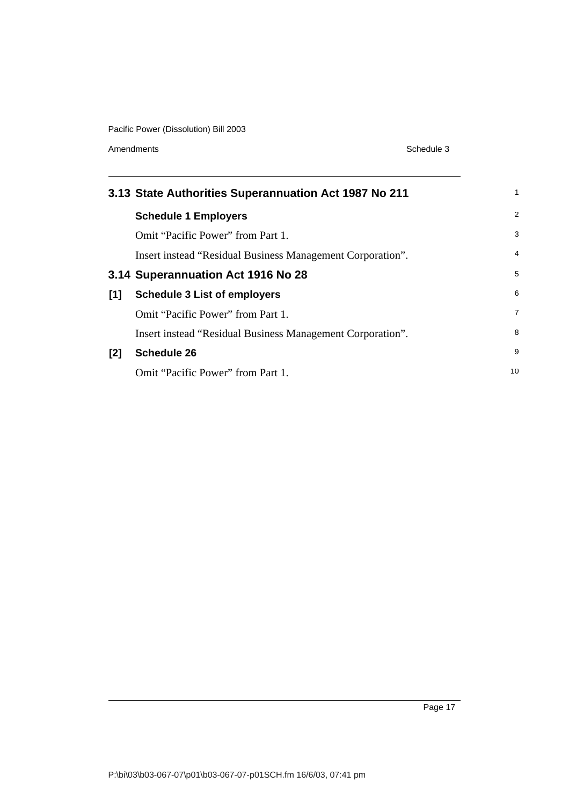Amendments Schedule 3

|       | 3.13 State Authorities Superannuation Act 1987 No 211      | 1              |
|-------|------------------------------------------------------------|----------------|
|       | <b>Schedule 1 Employers</b>                                | $\overline{2}$ |
|       | Omit "Pacific Power" from Part 1.                          | 3              |
|       | Insert instead "Residual Business Management Corporation". | 4              |
|       | 3.14 Superannuation Act 1916 No 28                         | 5              |
| $[1]$ | <b>Schedule 3 List of employers</b>                        | 6              |
|       | Omit "Pacific Power" from Part 1.                          | $\overline{7}$ |
|       | Insert instead "Residual Business Management Corporation". | 8              |
| $[2]$ | <b>Schedule 26</b>                                         | 9              |
|       | Omit "Pacific Power" from Part 1.                          | 10             |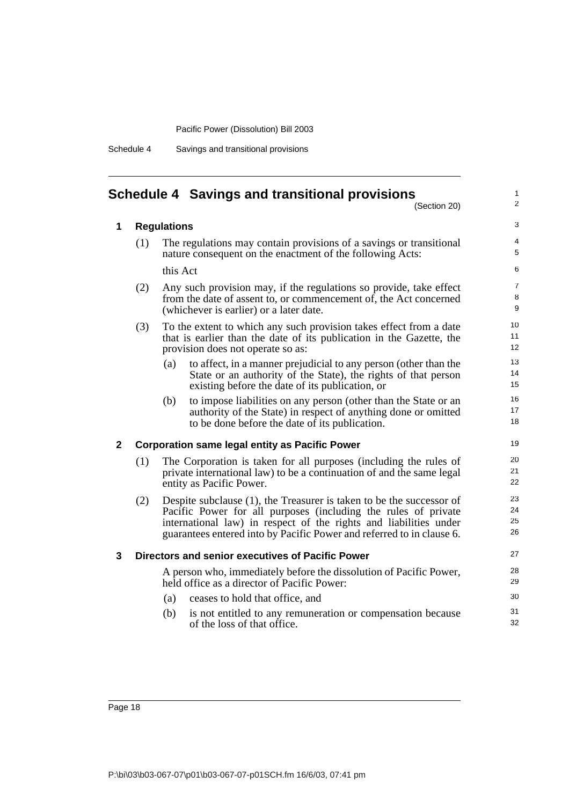Schedule 4 Savings and transitional provisions

# <span id="page-25-0"></span>**Schedule 4 Savings and transitional provisions**

(Section 20)

1 2

32

| 1            |     | <b>Regulations</b>                                                                                                                                                                                                                                                                   | 3                        |
|--------------|-----|--------------------------------------------------------------------------------------------------------------------------------------------------------------------------------------------------------------------------------------------------------------------------------------|--------------------------|
|              | (1) | The regulations may contain provisions of a savings or transitional<br>nature consequent on the enactment of the following Acts:                                                                                                                                                     | $\overline{4}$<br>5      |
|              |     | this Act                                                                                                                                                                                                                                                                             | 6                        |
|              | (2) | Any such provision may, if the regulations so provide, take effect<br>from the date of assent to, or commencement of, the Act concerned<br>(whichever is earlier) or a later date.                                                                                                   | $\overline{7}$<br>8<br>9 |
|              | (3) | To the extent to which any such provision takes effect from a date<br>that is earlier than the date of its publication in the Gazette, the<br>provision does not operate so as:                                                                                                      | 10<br>11<br>12           |
|              |     | to affect, in a manner prejudicial to any person (other than the<br>(a)<br>State or an authority of the State), the rights of that person<br>existing before the date of its publication, or                                                                                         | 13<br>14<br>15           |
|              |     | to impose liabilities on any person (other than the State or an<br>(b)<br>authority of the State) in respect of anything done or omitted<br>to be done before the date of its publication.                                                                                           | 16<br>17<br>18           |
| $\mathbf{2}$ |     | <b>Corporation same legal entity as Pacific Power</b>                                                                                                                                                                                                                                | 19                       |
|              | (1) | The Corporation is taken for all purposes (including the rules of<br>private international law) to be a continuation of and the same legal<br>entity as Pacific Power.                                                                                                               | 20<br>21<br>22           |
|              | (2) | Despite subclause (1), the Treasurer is taken to be the successor of<br>Pacific Power for all purposes (including the rules of private<br>international law) in respect of the rights and liabilities under<br>guarantees entered into by Pacific Power and referred to in clause 6. | 23<br>24<br>25<br>26     |
| 3            |     | Directors and senior executives of Pacific Power                                                                                                                                                                                                                                     | 27                       |
|              |     | A person who, immediately before the dissolution of Pacific Power,<br>held office as a director of Pacific Power:                                                                                                                                                                    | 28<br>29                 |
|              |     | ceases to hold that office, and<br>(a)                                                                                                                                                                                                                                               | 30                       |
|              |     | is not entitled to any remuneration or compensation because<br>(b)                                                                                                                                                                                                                   | 31                       |

of the loss of that office.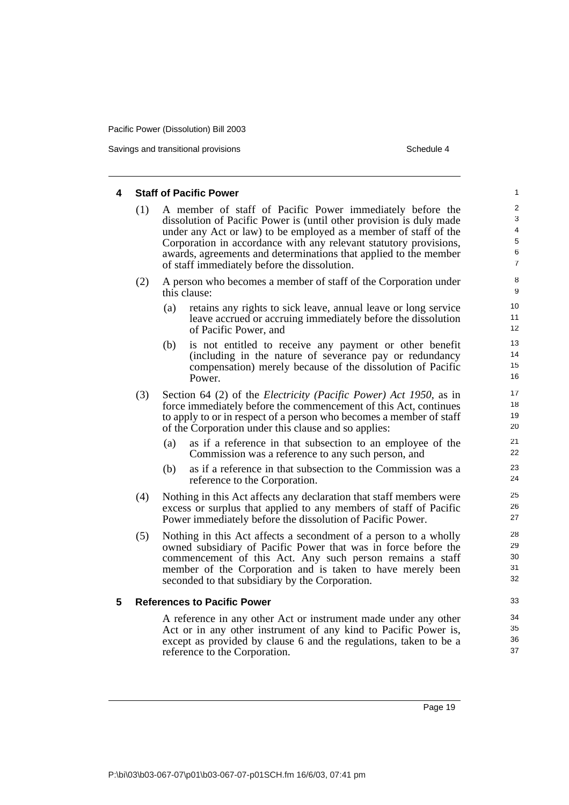Savings and transitional provisions Schedule 4 and transitional provisions Schedule 4

#### **4 Staff of Pacific Power** (1) A member of staff of Pacific Power immediately before the dissolution of Pacific Power is (until other provision is duly made under any Act or law) to be employed as a member of staff of the Corporation in accordance with any relevant statutory provisions, awards, agreements and determinations that applied to the member of staff immediately before the dissolution. (2) A person who becomes a member of staff of the Corporation under this clause: (a) retains any rights to sick leave, annual leave or long service leave accrued or accruing immediately before the dissolution of Pacific Power, and (b) is not entitled to receive any payment or other benefit (including in the nature of severance pay or redundancy compensation) merely because of the dissolution of Pacific Power. (3) Section 64 (2) of the *Electricity (Pacific Power) Act 1950*, as in force immediately before the commencement of this Act, continues to apply to or in respect of a person who becomes a member of staff of the Corporation under this clause and so applies: (a) as if a reference in that subsection to an employee of the Commission was a reference to any such person, and (b) as if a reference in that subsection to the Commission was a reference to the Corporation. (4) Nothing in this Act affects any declaration that staff members were excess or surplus that applied to any members of staff of Pacific Power immediately before the dissolution of Pacific Power. (5) Nothing in this Act affects a secondment of a person to a wholly owned subsidiary of Pacific Power that was in force before the commencement of this Act. Any such person remains a staff member of the Corporation and is taken to have merely been seconded to that subsidiary by the Corporation. **5 References to Pacific Power** A reference in any other Act or instrument made under any other Act or in any other instrument of any kind to Pacific Power is, except as provided by clause 6 and the regulations, taken to be a reference to the Corporation. 1  $\overline{2}$ 3 4 5 6 7 8 9 10 11 12 13 14 15 16 17 18 19 20 21 22 23 24 25 26 27 28 29 30 31 32 33 34 35 36 37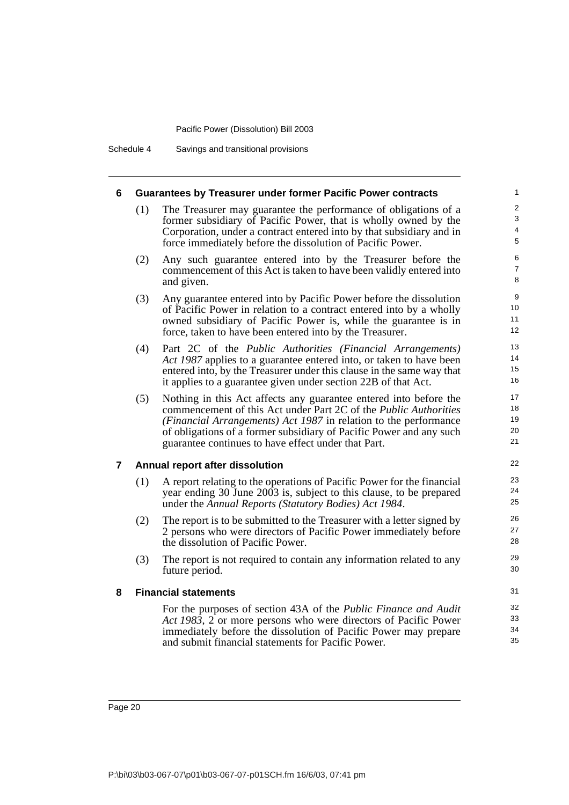Schedule 4 Savings and transitional provisions

| 6                       |     | <b>Guarantees by Treasurer under former Pacific Power contracts</b>                                                                                                                                                                                                                                                                            | $\mathbf{1}$                                  |
|-------------------------|-----|------------------------------------------------------------------------------------------------------------------------------------------------------------------------------------------------------------------------------------------------------------------------------------------------------------------------------------------------|-----------------------------------------------|
|                         | (1) | The Treasurer may guarantee the performance of obligations of a<br>former subsidiary of Pacific Power, that is wholly owned by the<br>Corporation, under a contract entered into by that subsidiary and in<br>force immediately before the dissolution of Pacific Power.                                                                       | $\overline{2}$<br>3<br>4<br>5                 |
|                         | (2) | Any such guarantee entered into by the Treasurer before the<br>commencement of this Act is taken to have been validly entered into<br>and given.                                                                                                                                                                                               | 6<br>$\overline{7}$<br>8                      |
|                         | (3) | Any guarantee entered into by Pacific Power before the dissolution<br>of Pacific Power in relation to a contract entered into by a wholly<br>owned subsidiary of Pacific Power is, while the guarantee is in<br>force, taken to have been entered into by the Treasurer.                                                                       | 9<br>10 <sup>1</sup><br>11<br>12 <sup>2</sup> |
|                         | (4) | Part 2C of the <i>Public Authorities (Financial Arrangements)</i><br>Act 1987 applies to a guarantee entered into, or taken to have been<br>entered into, by the Treasurer under this clause in the same way that<br>it applies to a guarantee given under section 22B of that Act.                                                            | 13<br>14<br>15<br>16                          |
|                         | (5) | Nothing in this Act affects any guarantee entered into before the<br>commencement of this Act under Part 2C of the <i>Public Authorities</i><br>(Financial Arrangements) Act 1987 in relation to the performance<br>of obligations of a former subsidiary of Pacific Power and any such<br>guarantee continues to have effect under that Part. | 17<br>18<br>19<br>20<br>21                    |
| $\overline{\mathbf{r}}$ |     | Annual report after dissolution                                                                                                                                                                                                                                                                                                                | 22                                            |
|                         | (1) | A report relating to the operations of Pacific Power for the financial<br>year ending 30 June 2003 is, subject to this clause, to be prepared<br>under the Annual Reports (Statutory Bodies) Act 1984.                                                                                                                                         | 23<br>24<br>25                                |
|                         | (2) | The report is to be submitted to the Treasurer with a letter signed by<br>2 persons who were directors of Pacific Power immediately before<br>the dissolution of Pacific Power.                                                                                                                                                                | 26<br>27<br>28                                |
|                         | (3) | The report is not required to contain any information related to any<br>future period.                                                                                                                                                                                                                                                         | 29<br>30                                      |
| 8                       |     | <b>Financial statements</b>                                                                                                                                                                                                                                                                                                                    | 31                                            |
|                         |     | For the purposes of section 43A of the <i>Public Finance and Audit</i><br>Act 1983, 2 or more persons who were directors of Pacific Power<br>immediately before the dissolution of Pacific Power may prepare<br>and submit financial statements for Pacific Power.                                                                             | 32<br>33<br>34<br>35                          |